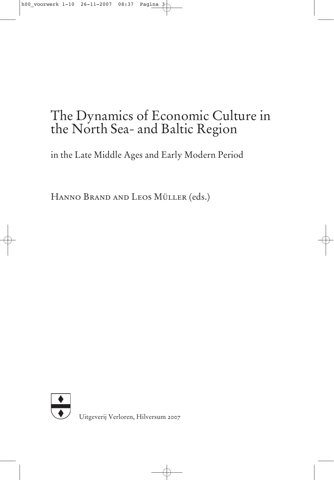# The Dynamics of Economic Culture in the North Sea- and Baltic Region

in the Late Middle Ages and Early Modern Period

Hanno Brand and Leos Müller (eds.)



Uitgeverij Verloren, Hilversum 2007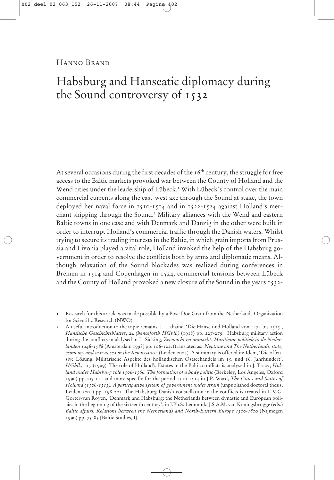Hanno Brand

# Habsburg and Hanseatic diplomacy during the Sound controversy of 1532

At several occasions during the first decades of the  $16<sup>th</sup>$  century, the struggle for free access to the Baltic markets provoked war between the County of Holland and the Wend cities under the leadership of Lübeck.<sup>1</sup> With Lübeck's control over the main commercial currents along the east-west axe through the Sound at stake, the town deployed her naval force in 1510-1514 and in 1522-1524 against Holland's merchant shipping through the Sound.2 Military alliances with the Wend and eastern Baltic towns in one case and with Denmark and Danzig in the other were built in order to interrupt Holland's commercial traffic through the Danish waters. Whilst trying to secure its trading interests in the Baltic, in which grain imports from Prussia and Livonia played a vital role, Holland invoked the help of the Habsburg government in order to resolve the conflicts both by arms and diplomatic means. Although relaxation of the Sound blockades was realized during conferences in Bremen in 1514 and Copenhagen in 1524, commercial tensions between Lübeck and the County of Holland provoked a new closure of the Sound in the years 1532-

1 Research for this article was made possible by a Post-Doc Grant from the Netherlands Organization for Scientific Research (NWO).

2 A useful introduction to the topic remains: L. Lahaine, 'Die Hanse und Holland von  $1474$  bis  $1525'$ , *Hansische Geschichtsblätter*, 24 *(henceforth HGbll.)* (1918) pp. 227-279. Habsburg military action during the conflicts in alalysed in L. Sicking, *Zeemacht en onmacht. Maritieme politiek in de Nederlanden 1448-1588* (Amsterdam 1998) pp. 106-122. (translated as: *Neptune and The Netherlands: state, economy and war at sea in the Renaissance* (Leiden 2004). A summary is offered in: Idem, 'Die offensive Lösung. Militärische Aspekte des holländischen Ostseehandels im 15. und 16. Jahrhundert', *HGbll.*, 117 (1999). The role of Holland's Estates in the Baltic conflicts is analysed in J. Tracy, *Hol*land under Habsburg role 1506-1566. The formation of a body politic (Berkeley, Los Angeles, Oxford 1990) pp.105-114 and more specific for the period 1510-1514 in J.P. Ward, *The Cities and States of Holland (1506-1515). A participative system of government under strain* (unpublished doctoral thesis, Leiden 2001) pp. 198-202. The Habsburg-Danish constellation in the conflicts is treated in L.V.G. Gorter-van Royen, 'Denmark and Habsburg: the Netherlands between dynastic and European policies in the beginning of the sixteenth century', in J.Ph.S. Lemmink, J.S.A.M. van Koningsbrugge (eds.) *Baltic affairs. Relations between the Netherlands and North-Eastern Europe 1500-1800* (Nijmegen 1990) pp. 75-85 [Baltic Studies, I].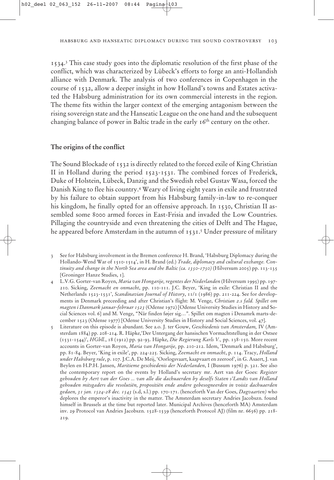1534.3 This case study goes into the diplomatic resolution of the first phase of the conflict, which was characterized by Lübeck's efforts to forge an anti-Hollandish alliance with Denmark. The analysis of two conferences in Copenhagen in the course of 1532, allow a deeper insight in how Holland's towns and Estates activated the Habsburg administration for its own commercial interests in the region. The theme fits within the larger context of the emerging antagonism between the rising sovereign state and the Hanseatic League on the one hand and the subsequent changing balance of power in Baltic trade in the early  $16<sup>th</sup>$  century on the other.

# **The origins of the conflict**

The Sound Blockade of 1532 is directly related to the forced exile of King Christian II in Holland during the period 1523-1531. The combined forces of Frederick, Duke of Holstein, Lübeck, Danzig and the Swedish rebel Gustav Wasa, forced the Danish King to flee his country.4 Weary of living eight years in exile and frustrated by his failure to obtain support from his Habsburg family-in-law to re-conquer his kingdom, he finally opted for an offensive approach. In 1530, Christian II assembled some 8000 armed forces in East-Frisia and invaded the Low Countries. Pillaging the countryside and even threatening the cities of Delft and The Hague, he appeared before Amsterdam in the autumn of  $1531$ .<sup>5</sup> Under pressure of military

- 4 L.V.G. Gorter-van Royen, *Maria van Hongarije, regentes der Nederlanden* (Hilversum 1995) pp. 197- 210. Sicking, *Zeemacht en onmacht*, pp. 110-111. J.C. Beyer, 'King in exile: Christian II and the Netherlands 1523-1531', *Scandinavian Journal of History*, 11/1 (1986) pp. 211-224. See for developments in Denmark preceeding and after Christian's flight: M. Venge, *Christian 2.s fald. Spillet om magten i Danmark januar-februar 1523* (Odense 1972) [Odense University Studies in History and Social Sciences vol. 6] and M. Venge, "Når finden føjer sig…". Spillet om magten i Denamrk marts-december 1523 (Odense 1977) [Odense University Studies in History and Social Sciences, vol. 47].
- 5 Literature on this episode is abundant. See a.o. J. ter Gouw, *Geschiedenis van Amsterdam,* IV (Amsterdam 1884) pp. 208-214. R. Häpke,'Der Untergang der hansischen Vormachtstellung in der Ostsee (1531-1544)', *HGbll.*, 18 (1912) pp. 92-93. Häpke, *Die Regierung Karls V.,* pp. 138-150. More recent accounts in Gorter-van Royen, *Maria van Hongarije,* pp. 210-212. Idem, 'Denmark and Habsburg', pp. 81-84. Beyer, 'King in exile', pp. 224-225. Sicking, *Zeemacht en onmacht*, p. 114. Tracy, *Holland under Habsburg rule*, p. 107. J.C.A. De Meij, 'Oorlogsvaart, kaapvaart en zeeroof', in G. Asaert, J. van Beylen en H.P.H. Jansen, *Maritieme geschiedenis der Nederlanden*, I (Bussum 1976) p. 321. See also the contemporary report on the events by Holland's secretary mr. Aert van der Goes: *Register gehouden by Aert van der Goes ... van alle die dachuaerden by deselfs Staten s'Landts van Holland gehouden mitsgaders die resolutiën, propositiën ende andere gebesogneerden in voisiz dachuaerden gedaen, 31 jan. 1524-28 dec. 1543* (s.d, s.l.) pp. 170-171. (henceforth Van der Goes, *Dagvaarten)* who deplores the emperor's inactivity in the matter. The Amsterdam secretary Andries Jacobszn. found himself in Brussels at the time but reported later. Municipal Archives (henceforth MA) Amsterdam inv. 29 Protocol van Andries Jacobszn. 1528-1539 (henceforth Protocol AJ) (film nr. 6656) pp. 218- 219.

<sup>3</sup> See for Habsburg involvement in the Bremen conference H. Brand, 'Habsburg Diplomacy during the Hollando-Wend War of 1510-1514', in H. Brand (ed.) *Trade, diplomacy and cultural exchange. Continuity and change in the North Sea area and the Baltic (ca. 1350-1750)* (Hilversum 2005) pp. 113-135 [Groninger Hanze Studies, 1].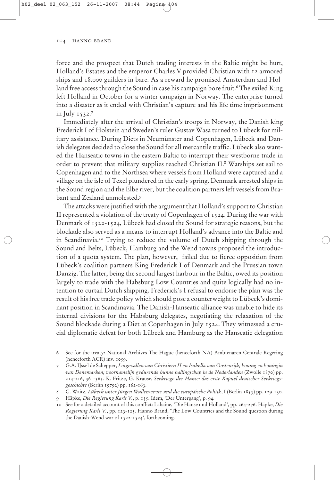force and the prospect that Dutch trading interests in the Baltic might be hurt, Holland's Estates and the emperor Charles V provided Christian with 12 armored ships and 18.000 guilders in bare. As a reward he promised Amsterdam and Holland free access through the Sound in case his campaign bore fruit.<sup>6</sup> The exiled King left Holland in October for a winter campaign in Norway. The enterprise turned into a disaster as it ended with Christian's capture and his life time imprisonment in July 1532.7

Immediately after the arrival of Christian's troops in Norway, the Danish king Frederick I of Holstein and Sweden's ruler Gustav Wasa turned to Lübeck for military assistance. During Diets in Neumünster and Copenhagen, Lübeck and Danish delegates decided to close the Sound for all mercantile traffic. Lübeck also wanted the Hanseatic towns in the eastern Baltic to interrupt their westborne trade in order to prevent that military supplies reached Christian II.8 Warships set sail to Copenhagen and to the Northsea where vessels from Holland were captured and a village on the isle of Texel plundered in the early spring. Denmark arrested ships in the Sound region and the Elbe river, but the coalition partners left vessels from Brabant and Zealand unmolested.9

The attacks were justified with the argument that Holland's support to Christian II represented a violation of the treaty of Copenhagen of 1524. During the war with Denmark of 1522-1524, Lübeck had closed the Sound for strategic reasons, but the blockade also served as a means to interrupt Holland's advance into the Baltic and in Scandinavia.10 Trying to reduce the volume of Dutch shipping through the Sound and Belts, Lübeck, Hamburg and the Wend towns proposed the introduction of a quota system. The plan, however, failed due to fierce opposition from Lübeck's coalition partners King Frederick I of Denmark and the Prussian town Danzig. The latter, being the second largest harbour in the Baltic, owed its position largely to trade with the Habsburg Low Countries and quite logically had no intention to curtail Dutch shipping. Frederick's I refusal to endorse the plan was the result of his free trade policy which should pose a counterweight to Lübeck's dominant position in Scandinavia. The Danish-Hanseatic alliance was unable to hide its internal divisions for the Habsburg delegates, negotiating the relaxation of the Sound blockade during a Diet at Copenhagen in July 1524. They witnessed a crucial diplomatic defeat for both Lübeck and Hamburg as the Hanseatic delegation

6 See for the treaty: National Archives The Hague (henceforth NA) Ambtenaren Centrale Regering (henceforth ACR) inv. 1059.

7 G.A. IJssel de Schepper, *Lotgevallen van Christiern II en Isabella van Oostenrijk, koning en koningin van Denemarken; voornamelijk gedurende hunne ballingschap in de Nederlanden* (Zwolle 1870) pp. 214-216, 361-365. K. Fritze, G. Krause, *Seekriege der Hanse: das erste Kapitel deutscher Seekriegsgeschichte* (Berlin 19792) pp. 162-163.

8 G. Waitz, *Lübeck unter Jürgen Wullenwever und die europäische Politik*, I (Berlin 1855) pp. 129-130.

9 Häpke, *Die Regierung Karls V.*, p. 155. Idem, 'Der Untergang', p. 94.

10 See for a detailed account of this conflict: Lahaine, 'Die Hanse und Holland', pp. 264-276. Häpke, *Die Regierung Karls V.*, pp. 123-125. Hanno Brand, 'The Low Countries and the Sound question during the Danish-Wend war of 1522-1524', forthcoming.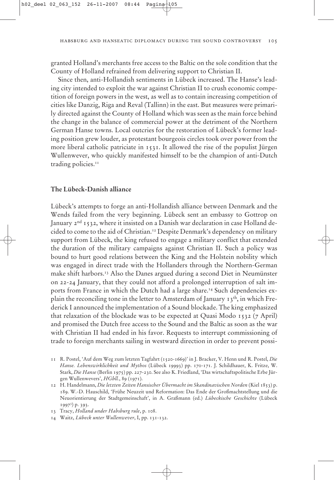granted Holland's merchants free access to the Baltic on the sole condition that the County of Holland refrained from delivering support to Christian II.

Since then, anti-Hollandish sentiments in Lübeck increased. The Hanse's leading city intended to exploit the war against Christian II to crush economic competition of foreign powers in the west, as well as to contain increasing competition of cities like Danzig, Riga and Reval (Tallinn) in the east. But measures were primarily directed against the County of Holland which was seen as the main force behind the change in the balance of commercial power at the detriment of the Northern German Hanse towns. Local outcries for the restoration of Lübeck's former leading position grew louder, as protestant bourgeois circles took over power from the more liberal catholic patriciate in 1531. It allowed the rise of the populist Jürgen Wullenwever, who quickly manifested himself to be the champion of anti-Dutch trading policies.<sup>11</sup>

Lübeck's attempts to forge an anti-Hollandish alliance between Denmark and the Wends failed from the very beginning. Lübeck sent an embassy to Gottrop on January  $2<sup>nd</sup>$  1532, where it insisted on a Danish war declaration in case Holland decided to come to the aid of Christian.<sup>12</sup> Despite Denmark's dependency on military support from Lübeck, the king refused to engage a military conflict that extended the duration of the military campaigns against Christian II. Such a policy was bound to hurt good relations between the King and the Holstein nobility which was engaged in direct trade with the Hollanders through the Northern-German make shift harbors.<sup>13</sup> Also the Danes argued during a second Diet in Neumünster on 22-24 January, that they could not afford a prolonged interruption of salt imports from France in which the Dutch had a large share.<sup>14</sup> Such dependencies explain the reconciling tone in the letter to Amsterdam of January 13<sup>th</sup>, in which Frederick I announced the implementation of a Sound blockade. The king emphasized that relaxation of the blockade was to be expected at Quasi Modo 1532 (7 April) and promised the Dutch free access to the Sound and the Baltic as soon as the war with Christian II had ended in his favor. Requests to interrupt commissioning of trade to foreign merchants sailing in westward direction in order to prevent possi-

<sup>11</sup> R. Postel, 'Auf dem Weg zum letzten Tagfahrt (1520-1669)' in J. Bracker, V. Henn und R. Postel, *Die Hanse. Lebenswirklichkeit und Mythos* (Lübeck 19993) pp. 170-171. J. Schildhauer, K. Fritze, W. Stark, *Die Hanse* (Berlin 1975) pp. 227-230. See also K. Friedland, 'Das wirtschaftspolitische Erbe Jürgen Wullenwevers', *HGbll.*, 89 (1971).

<sup>12</sup> H. Handelmann, *Die letzten Zeiten Hansischer Übermacht im Skandinavischen Norden* (Kiel 1853) p. 189. W.-D. Hauschild, 'Frühe Neuzeit und Reformation: Das Ende der Großmachtstellung und die Neuorientierung der Stadtgemeinschaft', in A. Graßmann (ed.) *Lübeckische Geschichte* (Lübeck 1997<sup>3</sup>) p. 393.

<sup>13</sup> Tracy, *Holland under Habsburg rule*, p. 108.

<sup>14</sup> Waitz, *Lübeck unter Wullenwever*, I, pp. 131-132.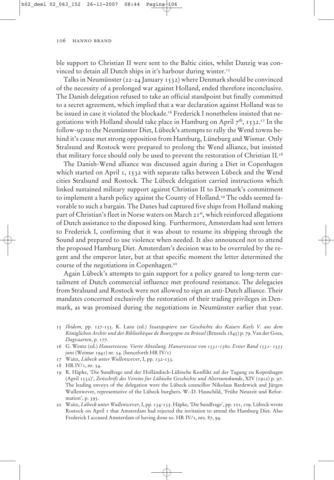ble support to Christian II were sent to the Baltic cities, whilst Danzig was convinced to detain all Dutch ships in it's harbour during winter.<sup>15</sup>

Talks in Neumünster (22-24 January 1532) where Denmark should be convinced of the necessity of a prolonged war against Holland, ended therefore inconclusive. The Danish delegation refused to take an official standpoint but finally committed to a secret agreement, which implied that a war declaration against Holland was to be issued in case it violated the blockade.<sup>16</sup> Frederick I nonetheless insisted that negotiations with Holland should take place in Hamburg on April  $7<sup>th</sup>$ , 1532.<sup>17</sup> In the follow-up to the Neumünster Diet, Lübeck's attempts to rally the Wend towns behind it's cause met strong opposition from Hamburg, Lüneburg and Wismar. Only Stralsund and Rostock were prepared to prolong the Wend alliance, but insisted that military force should only be used to prevent the restoration of Christian II.18

The Danish-Wend alliance was discussed again during a Diet in Copenhagen which started on April 1, 1532 with separate talks between Lübeck and the Wend cities Stralsund and Rostock. The Lübeck delegation carried instructions which linked sustained military support against Christian II to Denmark's commitment to implement a harsh policy against the County of Holland.<sup>19</sup> The odds seemed favorable to such a bargain. The Danes had captured five ships from Holland making part of Christian's fleet in Norse waters on March 21st, which reinforced allegations of Dutch assistance to the disposed king. Furthermore, Amsterdam had sent letters to Frederick I, confirming that it was about to resume its shipping through the Sound and prepared to use violence when needed. It also announced not to attend the proposed Hamburg Diet. Amsterdam's decision was to be overruled by the regent and the emperor later, but at that specific moment the letter determined the course of the negotiations in Copenhagen.20

Again Lübeck's attempts to gain support for a policy geared to long-term curtailment of Dutch commercial influence met profound resistance. The delegacies from Stralsund and Rostock were not allowed to sign an anti-Dutch alliance. Their mandates concerned exclusively the restoration of their trading privileges in Denmark, as was promised during the negotiations in Neumünster earlier that year.

- 15 *Ibidem,* pp. 127-133. K. Lanz (ed.) *Staatspapiere zur Geschichte des Kaisers Karls V. aus dem Königlichen Archiv und der Bibliothèque de Bourgogne zu Brüssel* (Brussels 1845) p. 79. Van der Goes, *Dagvaarten*, p. 177.
- 16 G. Wentz (ed.) *Hanserezesse. Vierte Abteilung. Hanserezesse von 1531-1560. Erster Band 1531- 1535 juni* (Weimar 1941) nr. 54. (henceforth HR IV/1)
- 17 Waitz, *Lübeck unter Wullenwever*, I, pp. 132-133.
- 18 HR IV/1, nr. 54.
- 19 R. Häpke, 'Die Sundfrage und der Holländisch-Lübische Konflikt auf der Tagung zu Kopenhagen (April 1532)', *Zeitschrift des Vereins fur Lübische Geschichte und Altertumskunde*, XIV (1912) p. 97. The leading envoys of the delegation were the Lübeck councillor Nikolaus Bardewick and Jürgen Wullenwever, representative of the Lübeck burghers. W.-D. Hauschild, 'Frühe Neuzeit und Reformation', p. 393.
- 20 Waitz, *Lübeck unter Wullenwever*, I, pp. 134-135. Häpke, 'Die Sundfrage', pp. 101, 109. Lübeck wrote Rostock on April 1 that Amsterdam had rejected the invitation to attend the Hamburg Diet. Also Frederick I accused Amsterdam of having done so. HR IV/1, nrs. 87, 94.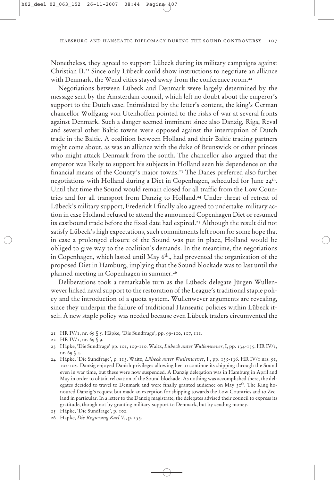Nonetheless, they agreed to support Lübeck during its military campaigns against Christian  $II^{21}$  Since only Lübeck could show instructions to negotiate an alliance with Denmark, the Wend cities stayed away from the conference room.<sup>22</sup>

Negotiations between Lübeck and Denmark were largely determined by the message sent by the Amsterdam council, which left no doubt about the emperor's support to the Dutch case. Intimidated by the letter's content, the king's German chancellor Wolfgang von Utenhoffen pointed to the risks of war at several fronts against Denmark. Such a danger seemed imminent since also Danzig, Riga, Reval and several other Baltic towns were opposed against the interruption of Dutch trade in the Baltic. A coalition between Holland and their Baltic trading partners might come about, as was an alliance with the duke of Brunswick or other princes who might attack Denmark from the south. The chancellor also argued that the emperor was likely to support his subjects in Holland seen his dependence on the financial means of the County's major towns.<sup>23</sup> The Danes preferred also further negotiations with Holland during a Diet in Copenhagen, scheduled for June 24<sup>th</sup>. Until that time the Sound would remain closed for all traffic from the Low Countries and for all transport from Danzig to Holland.24 Under threat of retreat of Lübeck's military support, Frederick I finally also agreed to undertake military action in case Holland refused to attend the announced Copenhagen Diet or resumed its eastbound trade before the fixed date had expired.25 Although the result did not satisfy Lübeck's high expectations, such commitments left room for some hope that in case a prolonged closure of the Sound was put in place, Holland would be obliged to give way to the coalition's demands. In the meantime, the negotiations in Copenhagen, which lasted until May  $6<sup>th</sup>$ , had prevented the organization of the proposed Diet in Hamburg, implying that the Sound blockade was to last until the planned meeting in Copenhagen in summer.<sup>26</sup>

Deliberations took a remarkable turn as the Lübeck delegate Jürgen Wullenwever linked naval support to the restoration of the League's traditional staple policy and the introduction of a quota system. Wullenwever arguments are revealing, since they underpin the failure of traditional Hanseatic policies within Lübeck itself. A new staple policy was needed because even Lübeck traders circumvented the

- 21 HR IV/1, nr. 69 § 5. Häpke, 'Die Sundfrage', pp. 99-100, 107, 111.
- 22 HR IV/1, nr. 69 § 9.
- 23 Häpke, 'Die Sundfrage' pp. 101, 109-110. Waitz, *Lübeck unter Wullenwever*, I, pp. 134-135. HR IV/1, nr. 69 § 4.
- 24 Häpke, 'Die Sundfrage', p. 113. Waitz, *Lübeck unter Wullenwever*, I , pp. 135-136. HR IV/1 nrs. 91, 102-105. Danzig enjoyed Danish privileges allowing her to continue its shipping through the Sound even in war time, but these were now suspended. A Danzig delegation was in Hamburg in April and May in order to obtain relaxation of the Sound blockade. As nothing was accomplished there, the delegates decided to travel to Denmark and were finally granted audience on May  $30<sup>th</sup>$ . The King honoured Danzig's request but made an exception for shipping towards the Low Countries and to Zeeland in particular. In a letter to the Danzig magistrate, the delegates advised their council to express its gratitude, though not by granting military support to Denmark, but by sending money.
- 25 Häpke, 'Die Sundfrage', p. 102.
- 26 Häpke, *Die Regierung Karl V.*, p. 155.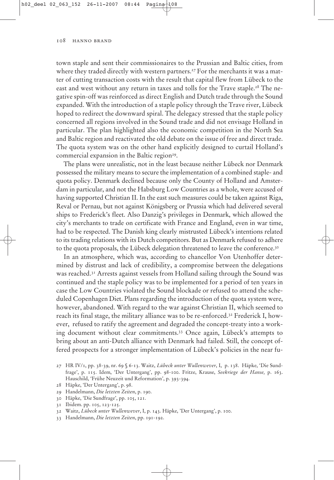town staple and sent their commissionaires to the Prussian and Baltic cities, from where they traded directly with western partners.<sup>27</sup> For the merchants it was a matter of cutting transaction costs with the result that capital flew from Lübeck to the east and west without any return in taxes and tolls for the Trave staple.<sup>28</sup> The negative spin-off was reinforced as direct English and Dutch trade through the Sound expanded. With the introduction of a staple policy through the Trave river, Lübeck hoped to redirect the downward spiral. The delegacy stressed that the staple policy concerned all regions involved in the Sound trade and did not envisage Holland in particular. The plan highlighted also the economic competition in the North Sea and Baltic region and reactivated the old debate on the issue of free and direct trade. The quota system was on the other hand explicitly designed to curtail Holland's commercial expansion in the Baltic region<sup>29</sup>.

The plans were unrealistic, not in the least because neither Lübeck nor Denmark possessed the military means to secure the implementation of a combined staple- and quota policy. Denmark declined because only the County of Holland and Amsterdam in particular, and not the Habsburg Low Countries as a whole, were accused of having supported Christian II. In the east such measures could be taken against Riga, Reval or Pernau, but not against Königsberg or Prussia which had delivered several ships to Frederick's fleet. Also Danzig's privileges in Denmark, which allowed the city's merchants to trade on certificate with France and England, even in war time, had to be respected. The Danish king clearly mistrusted Lübeck's intentions related to its trading relations with its Dutch competitors. But as Denmark refused to adhere to the quota proposals, the Lübeck delegation threatened to leave the conference.<sup>30</sup>

In an atmosphere, which was, according to chancellor Von Utenhoffer determined by distrust and lack of credibility, a compromise between the delegations was reached.31 Arrests against vessels from Holland sailing through the Sound was continued and the staple policy was to be implemented for a period of ten years in case the Low Countries violated the Sound blockade or refused to attend the scheduled Copenhagen Diet. Plans regarding the introduction of the quota system were, however, abandoned. With regard to the war against Christian II, which seemed to reach its final stage, the military alliance was to be re-enforced.32 Frederick I, however, refused to ratify the agreement and degraded the concept-treaty into a working document without clear commitments.33 Once again, Lübeck's attempts to bring about an anti-Dutch alliance with Denmark had failed. Still, the concept offered prospects for a stronger implementation of Lübeck's policies in the near fu-

30 Häpke, 'Die Sundfrage', pp. 105, 121.

<sup>27</sup> HR IV/1, pp. 38-39, nr. 69 § 6-13. Waitz, *Lübeck unter Wullenwever*, I, p. 138. Häpke, 'Die Sundfrage', p. 115. Idem, 'Der Untergang', pp. 98-100. Fritze, Krause, *Seekriege der Hanse,* p. 163. Hauschild, 'Frühe Neuzeit und Reformation', p. 393-394.

<sup>28</sup> Häpke, 'Der Untergang', p. 98.

<sup>29</sup> Handelmann, *Die letzten Zeiten*, p. 190.

<sup>31</sup> Ibidem. pp. 105, 123-125.

<sup>32</sup> Waitz, *Lübeck unter Wullenwever*, I, p. 143. Häpke, 'Der Untergang', p. 100.

<sup>33</sup> Handelmann, *Die letzten Zeiten*, pp. 191-192.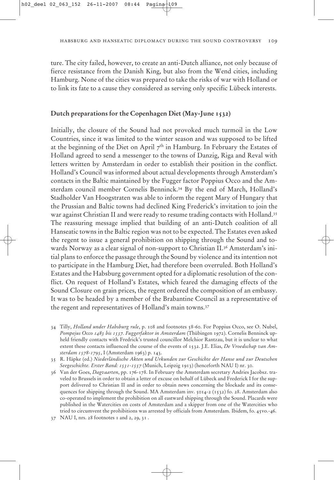ture. The city failed, however, to create an anti-Dutch alliance, not only because of fierce resistance from the Danish King, but also from the Wend cities, including Hamburg. None of the cities was prepared to take the risks of war with Holland or to link its fate to a cause they considered as serving only specific Lübeck interests.

# **Dutch preparations for the Copenhagen Diet (May-June 1532)**

Initially, the closure of the Sound had not provoked much turmoil in the Low Countries, since it was limited to the winter season and was supposed to be lifted at the beginning of the Diet on April  $7<sup>th</sup>$  in Hamburg. In February the Estates of Holland agreed to send a messenger to the towns of Danzig, Riga and Reval with letters written by Amsterdam in order to establish their position in the conflict. Holland's Council was informed about actual developments through Amsterdam's contacts in the Baltic maintained by the Fugger factor Poppius Occo and the Amsterdam council member Cornelis Benninck.34 By the end of March, Holland's Stadholder Van Hoogstraten was able to inform the regent Mary of Hungary that the Prussian and Baltic towns had declined King Frederick's invitation to join the war against Christian II and were ready to resume trading contacts with Holland.<sup>35</sup> The reassuring message implied that building of an anti-Dutch coalition of all Hanseatic towns in the Baltic region was not to be expected. The Estates even asked the regent to issue a general prohibition on shipping through the Sound and towards Norway as a clear signal of non-support to Christian II.36 Amsterdam's initial plans to enforce the passage through the Sound by violence and its intention not to participate in the Hamburg Diet, had therefore been overruled. Both Holland's Estates and the Habsburg government opted for a diplomatic resolution of the conflict. On request of Holland's Estates, which feared the damaging effects of the Sound Closure on grain prices, the regent ordered the composition of an embassy. It was to be headed by a member of the Brabantine Council as a representative of the regent and representatives of Holland's main towns.37

34 Tilly, *Holland under Habsburg rule*, p. 108 and footnotes 58-60. For Poppius Occo, see O. Nubel, *Pompejus Occo 1483 bis 1537. Fuggerfaktor in Amsterdam* (Thübingen 1972). Cornelis Benninck upheld friendly contacts with Fredrick's trusted councillor Melchior Rantzau, but it is unclear to what extent these contacts influenced the course of the events of 1532. J.E. Elias, *De Vroedschap van Amsterdam 1578-1795*, I (Amsterdam 1963) p. 143.

<sup>35</sup> R. Häpke (ed.) *Niederländische Akten und Urkunden zur Geschichte der Hanse und zur Deutschen Seegeschichte. Erster Band: 1531-1557* (Munich, Leipzig 1913) (henceforth NAU I) nr. 30.

<sup>36</sup> Van der Goes, *Dagvaarten*, pp. 176-178. In February the Amsterdam secretary Andries Jacobsz. traveled to Brussels in order to obtain a letter of excuse on behalf of Lübeck and Frederick I for the support delivered to Christian II and in order to obtain news concerning the blockade and its consequences for shipping through the Sound. MA Amsterdam inv. 5014-2 (1532) fo. 28. Amsterdam also co-operated to implement the prohibition on all eastward shipping through the Sound. Placards were published in the Watercities on costs of Amsterdam and a skipper from one of the Watercities who tried to circumvent the prohibitions was arrested by officials from Amsterdam. Ibidem, fo. 45vo.-46.

<sup>37</sup> NAU I, nrs. 28 footnotes 1 and 2, 29, 31 .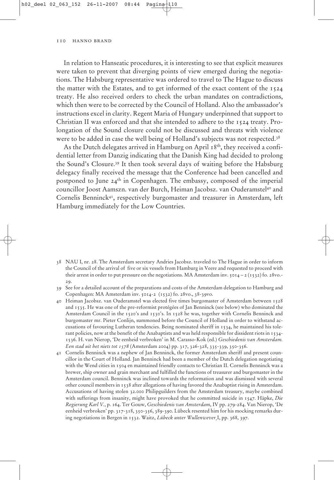In relation to Hanseatic procedures, it is interesting to see that explicit measures were taken to prevent that diverging points of view emerged during the negotiations. The Habsburg representative was ordered to travel to The Hague to discuss the matter with the Estates, and to get informed of the exact content of the 1524 treaty. He also received orders to check the urban mandates on contradictions, which then were to be corrected by the Council of Holland. Also the ambassador's instructions excel in clarity. Regent Maria of Hungary underpinned that support to Christian II was enforced and that she intended to adhere to the 1524 treaty. Prolongation of the Sound closure could not be discussed and threats with violence were to be added in case the well being of Holland's subjects was not respected.<sup>38</sup>

As the Dutch delegates arrived in Hamburg on April 18<sup>th</sup>, they received a confidential letter from Danzig indicating that the Danish King had decided to prolong the Sound's Closure.39 It then took several days of waiting before the Habsburg delegacy finally received the message that the Conference had been cancelled and postponed to June  $24<sup>th</sup>$  in Copenhagen. The embassy, composed of the imperial councillor Joost Aamszn. van der Burch, Heiman Jacobsz. van Ouderamstel40 and Cornelis Benninck41, respectively burgomaster and treasurer in Amsterdam, left Hamburg immediately for the Low Countries.

- 38 NAU I, nr. 28. The Amsterdam secretary Andries Jacobsz. traveled to The Hague in order to inform the Council of the arrival of five or six vessels from Hamburg in Veere and requested to proceed with their arrest in order to put pressure on the negotiations. MA Amsterdam inv.  $5014 - 2(1532)$  fo. 28vo.-29.
- 39 See for a detailed account of the preparations and costs of the Amsterdam delegation to Hamburg and Copenhagen: MA Amsterdam inv. 5014-2 (1532) fo. 28vo., 38-39vo.
- 40 Heiman Jacobsz. van Ouderamstel was elected five times burgomaster of Amsterdam between 1528 and 1535. He was one of the pre-reformist protégées of Jan Benninck (see below) who dominated the Amsterdam Council in the 1520's and 1530's. In 1528 he was, together with Cornelis Benninck and burgomaster mr. Pieter Conlijn, summoned before the Council of Holland in order to withstand accusations of favouring Lutheran tendencies. Being nominated sheriff in 1534, he maintained his tolerant policies, now at the benefit of the Anabaptists and was held responsible for dissident riots in 1534- 1536. H. van Nierop, 'De eenheid verbroken' in M. Carasso-Kok (ed.) *Geschiedenis van Amsterdam. Een stad uit het niets tot 1578* (Amsterdam 2004) pp. 317, 326-328, 335-339, 350-356.
- 41 Cornelis Benninck was a nephew of Jan Benninck, the former Amsterdam sheriff and present councillor in the Court of Holland. Jan Benninck had been a member of the Dutch delegation negotiating with the Wend cities in 1504 en maintained friendly contacts to Christian II. Cornelis Benninck was a brewer, ship owner and grain merchant and fulfilled the functions of treasurer and burgomaster in the Amsterdam council. Benninck was inclined towards the reformation and was dismissed with several other council members in 1538 after allegations of having favored the Anabaptist rising in Amsterdam. Accusations of having stolen 32.000 Philipguilders from the Amsterdam treasury, maybe combined with sufferings from insanity, might have provoked that he committed suicide in 1547. Häpke, *Die Regierung Karl V.*, p. 164. Ter Gouw, *Geschiedenis van Amsterdam*, IV pp. 279-284. Van Nierop, 'De eenheid verbroken' pp. 317-318, 350-356, 389-390. Lübeck resented him for his mocking remarks during negotiations in Bergen in 1532. Waitz, *Lübeck unter Wullenwever¸*I, pp. 368, 397.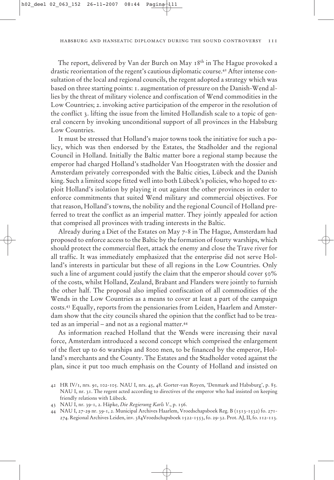The report, delivered by Van der Burch on May 18<sup>th</sup> in The Hague provoked a drastic reorientation of the regent's cautious diplomatic course.42 After intense consultation of the local and regional councils, the regent adopted a strategy which was based on three starting points: 1. augmentation of pressure on the Danish-Wend allies by the threat of military violence and confiscation of Wend commodities in the Low Countries; 2. invoking active participation of the emperor in the resolution of the conflict 3. lifting the issue from the limited Hollandish scale to a topic of general concern by invoking unconditional support of all provinces in the Habsburg Low Countries.

It must be stressed that Holland's major towns took the initiative for such a policy, which was then endorsed by the Estates, the Stadholder and the regional Council in Holland. Initially the Baltic matter bore a regional stamp because the emperor had charged Holland's stadholder Van Hoogstraten with the dossier and Amsterdam privately corresponded with the Baltic cities, Lübeck and the Danish king. Such a limited scope fitted well into both Lübeck's policies, who hoped to exploit Holland's isolation by playing it out against the other provinces in order to enforce commitments that suited Wend military and commercial objectives. For that reason, Holland's towns, the nobility and the regional Council of Holland preferred to treat the conflict as an imperial matter. They jointly appealed for action that comprised all provinces with trading interests in the Baltic.

Already during a Diet of the Estates on May 7-8 in The Hague, Amsterdam had proposed to enforce access to the Baltic by the formation of fourty warships, which should protect the commercial fleet, attack the enemy and close the Trave river for all traffic. It was immediately emphasized that the enterprise did not serve Holland's interests in particular but these of all regions in the Low Countries. Only such a line of argument could justify the claim that the emperor should cover 50% of the costs, whilst Holland, Zealand, Brabant and Flanders were jointly to furnish the other half. The proposal also implied confiscation of all commodities of the Wends in the Low Countries as a means to cover at least a part of the campaign costs.43 Equally, reports from the pensionaries from Leiden, Haarlem and Amsterdam show that the city councils shared the opinion that the conflict had to be treated as an imperial – and not as a regional matter.44

As information reached Holland that the Wends were increasing their naval force, Amsterdam introduced a second concept which comprised the enlargement of the fleet up to 60 warships and 8000 men, to be financed by the emperor, Holland's merchants and the County. The Estates and the Stadholder voted against the plan, since it put too much emphasis on the County of Holland and insisted on

<sup>42</sup> HR IV/1, nrs. 91, 102-105. NAU I, nrs. 45, 48. Gorter-van Royen, 'Denmark and Habsburg', p. 85. NAU I, nr. 31. The regent acted according to directives of the emperor who had insisted on keeping friendly relations with Lübeck.

<sup>43</sup> NAU I, nr. 39-1, 2. Häpke, *Die Regierung Karls V.*, p. 156.

<sup>44</sup> NAU I, 27-29 nr. 39-1, 2. Municipal Archives Haarlem, Vroedschapsboek Reg. B (1513-1532) fo. 271- 274. Regional Archives Leiden, inv. 384Vroedschapsboek 1522-1553, fo. 29-32. Prot. AJ, II, fo. 112-113.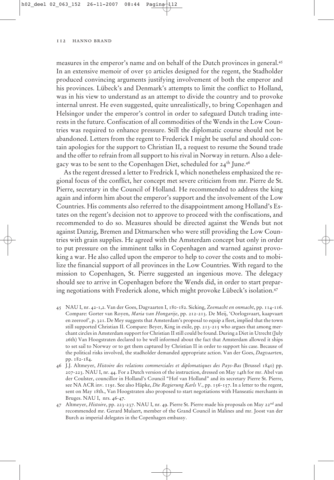measures in the emperor's name and on behalf of the Dutch provinces in general.45 In an extensive memoir of over 50 articles designed for the regent, the Stadholder produced convincing arguments justifying involvement of both the emperor and his provinces. Lübeck's and Denmark's attempts to limit the conflict to Holland, was in his view to understand as an attempt to divide the country and to provoke internal unrest. He even suggested, quite unrealistically, to bring Copenhagen and Helsingor under the emperor's control in order to safeguard Dutch trading interests in the future. Confiscation of all commodities of the Wends in the Low Countries was required to enhance pressure. Still the diplomatic course should not be abandoned. Letters from the regent to Frederick I might be useful and should contain apologies for the support to Christian II, a request to resume the Sound trade and the offer to refrain from all support to his rival in Norway in return. Also a delegacy was to be sent to the Copenhagen Diet, scheduled for 24<sup>th</sup> June.<sup>46</sup>

As the regent dressed a letter to Fredrick I, which nonetheless emphasized the regional focus of the conflict, her concept met severe criticism from mr. Pierre de St. Pierre, secretary in the Council of Holland. He recommended to address the king again and inform him about the emperor's support and the involvement of the Low Countries. His comments also referred to the disappointment among Holland's Estates on the regent's decision not to approve to proceed with the confiscations, and recommended to do so. Measures should be directed against the Wends but not against Danzig, Bremen and Ditmarschen who were still providing the Low Countries with grain supplies. He agreed with the Amsterdam concept but only in order to put pressure on the imminent talks in Copenhagen and warned against provoking a war. He also called upon the emperor to help to cover the costs and to mobilize the financial support of all provinces in the Low Countries. With regard to the mission to Copenhagen, St. Pierre suggested an ingenious move. The delegacy should see to arrive in Copenhagen before the Wends did, in order to start preparing negotiations with Frederick alone, which might provoke Lübeck's isolation.47

- 45 NAU I, nr. 42-1,2. Van der Goes, Dagvaarten I, 180-182. Sicking, *Zeemacht en onmacht*, pp. 114-116. Compare: Gorter van Royen, *Maria van Hongarije*, pp. 212-213. De Meij, 'Oorlogsvaart, kaapvaart en zeeroof', p. 321. De Mey suggests that Amsterdam's proposal to equip a fleet, implied that the town still supported Christian II. Compare: Beyer, King in exile, pp. 213-215 who argues that among merchant circles in Amsterdam support for Christian II still could be found. During a Diet in Utrecht (July 26th) Van Hoogstraten declared to be well informed about the fact that Amsterdam allowed it ships to set sail to Norway or to get them captured by Christian II in order to support his case. Because of the political risks involved, the stadholder demanded appropriate action. Van der Goes, *Dagvaarten*, pp. 182-184.
- 46 J.J. Altmeyer, *Histoire des relations commerciales et diplomatiques des Pays-Bas* (Brussel 1840) pp. 207-223. NAU I, nr. 44. For a Dutch version of the instruction, dressed on May 14th for mr. Abel van der Coulster, councillor in Holland's Council "Hof van Holland" and its secretary Pierre St. Pierre, see NA ACR inv. 1191. See also Häpke, *Die Regierung Karls V.*, pp. 156-157. In a letter to the regent, sent on May 18th., Van Hoogstraten also proposed to start negotiations with Hanseatic merchants in Bruges. NAU I, nrs. 46-47.
- 47 Altmeyer, *Histoire*, pp. 223-237. NAU I, nr. 49. Pierre St. Pierre made his proposals on May 22nd and recommended mr. Gerard Mulaert, member of the Grand Council in Malines and mr. Joost van der Burch as imperial delegates in the Copenhagen embassy.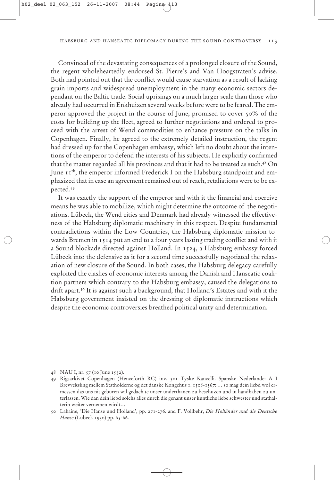Convinced of the devastating consequences of a prolonged closure of the Sound, the regent wholeheartedly endorsed St. Pierre's and Van Hoogstraten's advise. Both had pointed out that the conflict would cause starvation as a result of lacking grain imports and widespread unemployment in the many economic sectors dependant on the Baltic trade. Social uprisings on a much larger scale than those who already had occurred in Enkhuizen several weeks before were to be feared. The emperor approved the project in the course of June, promised to cover 50% of the costs for building up the fleet, agreed to further negotiations and ordered to proceed with the arrest of Wend commodities to enhance pressure on the talks in Copenhagen. Finally, he agreed to the extremely detailed instruction, the regent had dressed up for the Copenhagen embassy, which left no doubt about the intentions of the emperor to defend the interests of his subjects. He explicitly confirmed that the matter regarded all his provinces and that it had to be treated as such.48 On June 11<sup>th</sup>, the emperor informed Frederick I on the Habsburg standpoint and emphasized that in case an agreement remained out of reach, retaliations were to be expected.49

It was exactly the support of the emperor and with it the financial and coercive means he was able to mobilize, which might determine the outcome of the negotiations. Lübeck, the Wend cities and Denmark had already witnessed the effectiveness of the Habsburg diplomatic machinery in this respect. Despite fundamental contradictions within the Low Countries, the Habsburg diplomatic mission towards Bremen in 1514 put an end to a four years lasting trading conflict and with it a Sound blockade directed against Holland. In 1524, a Habsburg embassy forced Lübeck into the defensive as it for a second time successfully negotiated the relaxation of new closure of the Sound. In both cases, the Habsburg delegacy carefully exploited the clashes of economic interests among the Danish and Hanseatic coalition partners which contrary to the Habsburg embassy, caused the delegations to drift apart.50 It is against such a background, that Holland's Estates and with it the Habsburg government insisted on the dressing of diplomatic instructions which despite the economic controversies breathed political unity and determination.

<sup>48</sup> NAU I, nr. 57 (10 June 1532).

<sup>49</sup> Rigsarkivet Copenhagen (Henceforth RC) inv. 301 Tyske Kancelli. Spanske Nederlande: A I Brevveksling mellem Statholderne og det danske Kongehus 1. 1508-1567: … so mag dein liebd wol ermessen das uns nit geburen wil gedach te unser underthanen zu beschuzen und in handhaben zu unterlassen. Wie dan dein liebd solchs alles durch die genant unser kuntliche liebe schwester und stathalterin weiter vernemen wirdt…

<sup>50</sup> Lahaine, 'Die Hanse und Holland', pp. 271-276. and F. Vollbehr, *Die Holländer und die Deutsche Hanse* (Lübeck 1930) pp. 65-66.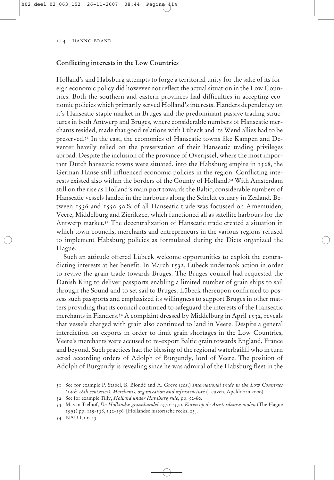# **Conflicting interests in the Low Countries**

Holland's and Habsburg attempts to forge a territorial unity for the sake of its foreign economic policy did however not reflect the actual situation in the Low Countries. Both the southern and eastern provinces had difficulties in accepting economic policies which primarily served Holland's interests. Flanders dependency on it's Hanseatic staple market in Bruges and the predominant passive trading structures in both Antwerp and Bruges, where considerable numbers of Hanseatic merchants resided, made that good relations with Lübeck and its Wend allies had to be preserved.51 In the east, the economies of Hanseatic towns like Kampen and Deventer heavily relied on the preservation of their Hanseatic trading privileges abroad. Despite the inclusion of the province of Overijssel, where the most important Dutch hanseatic towns were situated, into the Habsburg empire in 1528, the German Hanse still influenced economic policies in the region. Conflicting interests existed also within the borders of the County of Holland.52 With Amsterdam still on the rise as Holland's main port towards the Baltic, considerable numbers of Hanseatic vessels landed in the harbours along the Scheldt estuary in Zealand. Between 1536 and 1550 50% of all Hanseatic trade was focussed on Arnemuiden, Veere, Middelburg and Zierikzee, which functioned all as satellite harbours for the Antwerp market.53 The decentralization of Hanseatic trade created a situation in which town councils, merchants and entrepreneurs in the various regions refused to implement Habsburg policies as formulated during the Diets organized the Hague.

Such an attitude offered Lübeck welcome opportunities to exploit the contradicting interests at her benefit. In March 1532, Lübeck undertook action in order to revive the grain trade towards Bruges. The Bruges council had requested the Danish King to deliver passports enabling a limited number of grain ships to sail through the Sound and to set sail to Bruges. Lübeck thereupon confirmed to possess such passports and emphasized its willingness to support Bruges in other matters providing that its council continued to safeguard the interests of the Hanseatic merchants in Flanders.<sup>54</sup> A complaint dressed by Middelburg in April 1532, reveals that vessels charged with grain also continued to land in Veere. Despite a general interdiction on exports in order to limit grain shortages in the Low Countries, Veere's merchants were accused to re-export Baltic grain towards England, France and beyond. Such practices had the blessing of the regional waterbailiff who in turn acted according orders of Adolph of Burgundy, lord of Veere. The position of Adolph of Burgundy is revealing since he was admiral of the Habsburg fleet in the

54 NAU I, nr. 43.

<sup>51</sup> See for example P. Stabel, B. Blondé and A. Greve (eds.) *International trade in the Low Countries (14th-16th centuries). Merchants, organization and infrastructure* (Leuven, Apeldoorn 2000).

<sup>52</sup> See for example Tilly, *Holland under Habsburg rule,* pp. 52-60.

<sup>53</sup> M. van Tielhof, *De Hollandse graanhandel 1470-1570. Koren op de Amsterdamse molen* (The Hague 1995) pp. 129-138, 152-156 [Hollandse historische reeks, 23].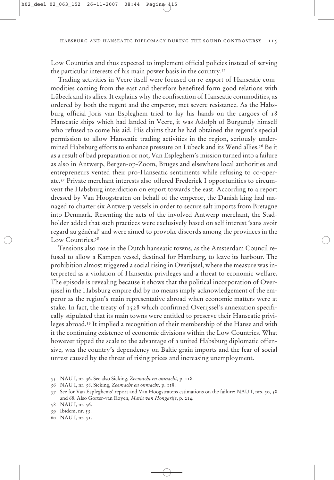Low Countries and thus expected to implement official policies instead of serving the particular interests of his main power basis in the country.55

Trading activities in Veere itself were focused on re-export of Hanseatic commodities coming from the east and therefore benefited form good relations with Lübeck and its allies. It explains why the confiscation of Hanseatic commodities, as ordered by both the regent and the emperor, met severe resistance. As the Habsburg official Joris van Espleghem tried to lay his hands on the cargoes of 18 Hanseatic ships which had landed in Veere, it was Adolph of Burgundy himself who refused to come his aid. His claims that he had obtained the regent's special permission to allow Hanseatic trading activities in the region, seriously undermined Habsburg efforts to enhance pressure on Lübeck and its Wend allies.<sup>56</sup> Be it as a result of bad preparation or not, Van Espleghem's mission turned into a failure as also in Antwerp, Bergen-op-Zoom, Bruges and elsewhere local authorities and entrepreneurs vented their pro-Hanseatic sentiments while refusing to co-operate.57 Private merchant interests also offered Frederick I opportunities to circumvent the Habsburg interdiction on export towards the east. According to a report dressed by Van Hoogstraten on behalf of the emperor, the Danish king had managed to charter six Antwerp vessels in order to secure salt imports from Bretagne into Denmark. Resenting the acts of the involved Antwerp merchant, the Stadholder added that such practices were exclusively based on self interest 'sans avoir regard au général' and were aimed to provoke discords among the provinces in the Low Countries.<sup>58</sup>

Tensions also rose in the Dutch hanseatic towns, as the Amsterdam Council refused to allow a Kampen vessel, destined for Hamburg, to leave its harbour. The prohibition almost triggered a social rising in Overijssel, where the measure was interpreted as a violation of Hanseatic privileges and a threat to economic welfare. The episode is revealing because it shows that the political incorporation of Overijssel in the Habsburg empire did by no means imply acknowledgement of the emperor as the region's main representative abroad when economic matters were at stake. In fact, the treaty of 1528 which confirmed Overijssel's annexation specifically stipulated that its main towns were entitled to preserve their Hanseatic privileges abroad.59 It implied a recognition of their membership of the Hanse and with it the continuing existence of economic divisions within the Low Countries. What however tipped the scale to the advantage of a united Habsburg diplomatic offensive, was the country's dependency on Baltic grain imports and the fear of social unrest caused by the threat of rising prices and increasing unemployment.

- 55 NAU I, nr. 36. See also Sicking, *Zeemacht en onmacht,* p. 118.
- 56 NAU I, nr. 58. Sicking, *Zeemacht en onmacht,* p. 118.

59 Ibidem, nr. 55.

60 NAU I, nr. 51.

<sup>57</sup> See for Van Espleghems' report and Van Hoogstratens estimations on the failure: NAU I, nrs. 50, 58 and 68. Also Gorter-van Royen, *Maria van Hongarije*, p. 214.

<sup>58</sup> NAU I, nr. 56.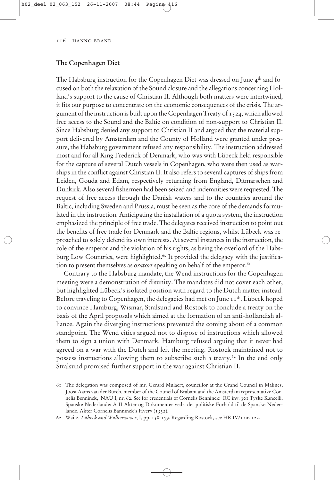# **The Copenhagen Diet**

The Habsburg instruction for the Copenhagen Diet was dressed on June  $4<sup>th</sup>$  and focused on both the relaxation of the Sound closure and the allegations concerning Holland's support to the cause of Christian II. Although both matters were intertwined, it fits our purpose to concentrate on the economic consequences of the crisis. The argument of the instruction is built upon the Copenhagen Treaty of 1524, which allowed free access to the Sound and the Baltic on condition of non-support to Christian II. Since Habsburg denied any support to Christian II and argued that the material support delivered by Amsterdam and the County of Holland were granted under pressure, the Habsburg government refused any responsibility. The instruction addressed most and for all King Frederick of Denmark, who was with Lübeck held responsible for the capture of several Dutch vessels in Copenhagen, who were then used as warships in the conflict against Christian II. It also refers to several captures of ships from Leiden, Gouda and Edam, respectively returning from England, Ditmarschen and Dunkirk. Also several fishermen had been seized and indemnities were requested. The request of free access through the Danish waters and to the countries around the Baltic, including Sweden and Prussia, must be seen as the core of the demands formulated in the instruction. Anticipating the installation of a quota system, the instruction emphasized the principle of free trade. The delegates received instruction to point out the benefits of free trade for Denmark and the Baltic regions, whilst Lübeck was reproached to solely defend its own interests. At several instances in the instruction, the role of the emperor and the violation of his rights, as being the overlord of the Habsburg Low Countries, were highlighted.<sup>60</sup> It provided the delegacy with the justification to present themselves as *orators* speaking on behalf of the emperor.<sup>61</sup>

Contrary to the Habsburg mandate, the Wend instructions for the Copenhagen meeting were a demonstration of disunity. The mandates did not cover each other, but highlighted Lübeck's isolated position with regard to the Dutch matter instead. Before traveling to Copenhagen, the delegacies had met on June 11<sup>th</sup>. Lübeck hoped to convince Hamburg, Wismar, Stralsund and Rostock to conclude a treaty on the basis of the April proposals which aimed at the formation of an anti-hollandish alliance. Again the diverging instructions prevented the coming about of a common standpoint. The Wend cities argued not to dispose of instructions which allowed them to sign a union with Denmark. Hamburg refused arguing that it never had agreed on a war with the Dutch and left the meeting. Rostock maintained not to possess instructions allowing them to subscribe such a treaty.62 In the end only Stralsund promised further support in the war against Christian II.

<sup>61</sup> The delegation was composed of mr. Gerard Mulaert, councillor at the Grand Council in Malines, Joost Aams van der Burch, member of the Council of Brabant and the Amsterdam representative Cornelis Benninck, NAU I, nr. 62. See for credentials of Cornelis Benninck: RC inv. 301 Tyske Kancelli. Spanske Nederlande: A II Akter og Dokumenter vedr. det politiske Forhold til de Spanske Nederlande. Akter Cornelis Banninck's Hverv (1532).

<sup>62</sup> Waitz*, Lübeck and Wullenwever*, I, pp. 158-159. Regarding Rostock, see HR IV/1 nr. 122.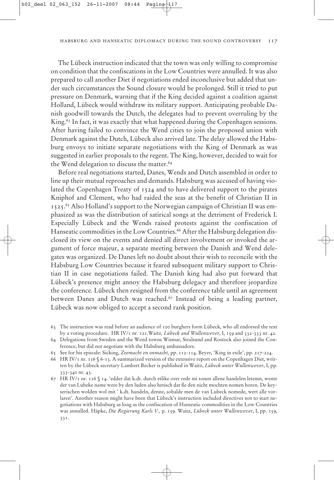The Lübeck instruction indicated that the town was only willing to compromise on condition that the confiscations in the Low Countries were annulled. It was also prepared to call another Diet if negotiations ended inconclusive but added that under such circumstances the Sound closure would be prolonged. Still it tried to put pressure on Denmark, warning that if the King decided against a coalition against Holland, Lübeck would withdraw its military support. Anticipating probable Danish goodwill towards the Dutch, the delegates had to prevent overruling by the King.<sup>63</sup> In fact, it was exactly that what happened during the Copenhagen sessions. After having failed to convince the Wend cities to join the proposed union with Denmark against the Dutch, Lübeck also arrived late. The delay allowed the Habsburg envoys to initiate separate negotiations with the King of Denmark as was suggested in earlier proposals to the regent. The King, however, decided to wait for the Wend delegation to discuss the matter.<sup>64</sup>

Before real negotiations started, Danes, Wends and Dutch assembled in order to line up their mutual reproaches and demands. Habsburg was accused of having violated the Copenhagen Treaty of 1524 and to have delivered support to the pirates Kniphof and Clement, who had raided the seas at the benefit of Christian II in 1525.65 Also Holland's support to the Norwegian campaign of Christian II was emphasized as was the distribution of satirical songs at the detriment of Frederick I. Especially Lübeck and the Wends raised protests against the confiscation of Hanseatic commodities in the Low Countries.<sup>66</sup> After the Habsburg delegation disclosed its view on the events and denied all direct involvement or invoked the argument of force majeur, a separate meeting between the Danish and Wend delegates was organized. De Danes left no doubt about their wish to reconcile with the Habsburg Low Countries because it feared subsequent military support to Christian II in case negotiations failed. The Danish king had also put forward that Lübeck's presence might annoy the Habsburg delegacy and therefore jeopardize the conference. Lübeck then resigned from the conference table until an agreement between Danes and Dutch was reached.<sup>67</sup> Instead of being a leading partner, Lübeck was now obliged to accept a second rank position.

- 63 The instruction was read before an audience of 100 burghers form Lübeck, who all endorsed the text by a voting procedure. HR IV/1 nr. 121.Waitz*, Lübeck and Wullenwever*, I, 159 and 332-333 nr. 42.
- 64 Delegations from Sweden and the Wend towns Wismar, Stralsund and Rostock also joined the Conference, but did not negotiate with the Habsburg ambassadors.
- 65 See for his episode: Sicking, *Zeemacht en onmacht,* pp. 112-114. Beyer, 'King in exile', pp. 217-224.
- 66 HR IV/1 nr. 116 § 6-13. A summarized version of the extensive report on the Copenhagen Diet, written by the Lübeck secretary Lambert Becker is published in Waitz, *Lübeck unter Wullenwever*, I, pp. 333-340 nr. 43.
- 67 HR IV/1 nr. 116 § 14. 'edder dat k.dt. durch etlike orer rede mi tonen allene handelen letemn, wente der van Lubeke name were by den luden also hetisch dat ße den nicht mochten nomen horen. De keyserischen wolden wol mit ' k.dt. handeln, denne, sobalde men de van Lubeck nomede, wert alle vorlaren'. Another reason might have been that Lübeck's instruction included directives not to start negotiations with Habsburg as long as the confiscation of Hanseatic commodities in the Low Countries was annulled. Häpke, *Die Regierung Karls V.,* p. 159. Waitz, *Lübeck unter Wullenwever*, I, pp. 159, 331.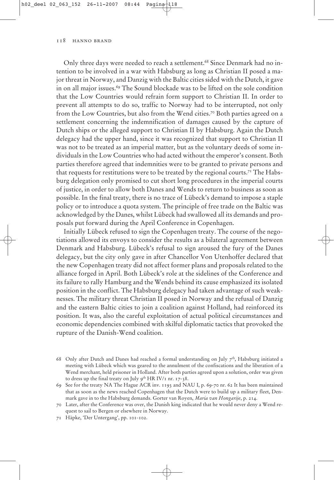Only three days were needed to reach a settlement.<sup>68</sup> Since Denmark had no intention to be involved in a war with Habsburg as long as Christian II posed a major threat in Norway, and Danzig with the Baltic cities sided with the Dutch, it gave in on all major issues.<sup>69</sup> The Sound blockade was to be lifted on the sole condition that the Low Countries would refrain form support to Christian II. In order to prevent all attempts to do so, traffic to Norway had to be interrupted, not only from the Low Countries, but also from the Wend cities.<sup>70</sup> Both parties agreed on a settlement concerning the indemnification of damages caused by the capture of Dutch ships or the alleged support to Christian II by Habsburg. Again the Dutch delegacy had the upper hand, since it was recognized that support to Christian II was not to be treated as an imperial matter, but as the voluntary deeds of some individuals in the Low Countries who had acted without the emperor's consent. Both parties therefore agreed that indemnities were to be granted to private persons and that requests for restitutions were to be treated by the regional courts.71 The Habsburg delegation only promised to cut short long procedures in the imperial courts of justice, in order to allow both Danes and Wends to return to business as soon as possible. In the final treaty, there is no trace of Lübeck's demand to impose a staple policy or to introduce a quota system. The principle of free trade on the Baltic was acknowledged by the Danes, whilst Lübeck had swallowed all its demands and proposals put forward during the April Conference in Copenhagen.

Initially Lübeck refused to sign the Copenhagen treaty. The course of the negotiations allowed its envoys to consider the results as a bilateral agreement between Denmark and Habsburg. Lübeck's refusal to sign aroused the fury of the Danes delegacy, but the city only gave in after Chancellor Von Utenhoffer declared that the new Copenhagen treaty did not affect former plans and proposals related to the alliance forged in April. Both Lübeck's role at the sidelines of the Conference and its failure to rally Hamburg and the Wends behind its cause emphasized its isolated position in the conflict. The Habsburg delegacy had taken advantage of such weaknesses. The military threat Christian II posed in Norway and the refusal of Danzig and the eastern Baltic cities to join a coalition against Holland, had reinforced its position. It was, also the careful exploitation of actual political circumstances and economic dependencies combined with skilful diplomatic tactics that provoked the rupture of the Danish-Wend coalition.

<sup>68</sup> Only after Dutch and Danes had reached a formal understanding on July  $7<sup>th</sup>$ , Habsburg initiated a meeting with Lübeck which was geared to the annulment of the confiscations and the liberation of a Wend merchant, held prisoner in Holland. After both parties agreed upon a solution, order was given to dress up the final treaty on July  $9^{th}$  HR IV/1 nr. 17-38.

<sup>69</sup> See for the treaty NA The Hague ACR inv. 1193 and NAU I, p. 69-70 nr. 62 It has been maintained that as soon as the news reached Copenhagen that the Dutch were to build up a military fleet, Denmark gave in to the Habsburg demands. Gorter van Royen, *Maria van Hongarije*, p. 214.

<sup>70</sup> Later, after the Conference was over, the Danish king indicated that he would never deny a Wend request to sail to Bergen or elsewhere in Norway.

<sup>71</sup> Häpke, 'Der Untergang', pp. 101-102.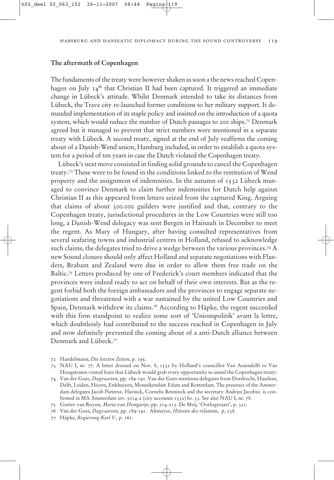# **The aftermath of Copenhagen**

The fundaments of the treaty were however shaken as soon a the news reached Copenhagen on July  $I_4$ <sup>th</sup> that Christian II had been captured. It triggered an immediate change in Lübeck's attitude. Whilst Denmark intended to take its distances from Lübeck, the Trave city re-launched former conditions to her military support. It demanded implementation of its staple policy and insisted on the introduction of a quota system, which would reduce the number of Dutch passages to 200 ships.<sup>72</sup> Denmark agreed but it managed to prevent that strict numbers were mentioned in a separate treaty with Lübeck. A second treaty, signed at the end of July reaffirms the coming about of a Danish-Wend union, Hamburg included, in order to establish a quota system for a period of ten years in case the Dutch violated the Copenhagen treaty.

Lübeck's next move consisted in finding solid grounds to cancel the Copenhagen treaty.73 These were to be found in the conditions linked to the restitution of Wend property and the assignment of indemnities. In the autumn of 1532 Lübeck managed to convince Denmark to claim further indemnities for Dutch help against Christian II as this appeared from letters seized from the captured King. Arguing that claims of about 300.000 guilders were justified and that, contrary to the Copenhagen treaty, jurisdictional procedures in the Low Countries were still too long, a Danish-Wend delegacy was sent Bergen in Hainault in December to meet the regent. As Mary of Hungary, after having consulted representatives from several seafaring towns and industrial centres in Holland, refused to acknowledge such claims, the delegates tried to drive a wedge between the various provinces.74 A new Sound closure should only affect Holland and separate negotiations with Flanders, Brabant and Zealand were due in order to allow them free trade on the Baltic.<sup>75</sup> Letters produced by one of Frederick's court members indicated that the provinces were indeed ready to act on behalf of their own interests. But as the regent forbid both the foreign ambassadors and the provinces to engage separate negotiations and threatened with a war sustained by the united Low Countries and Spain, Denmark withdrew its claims.<sup>76</sup> According to Häpke, the regent succeeded with this firm standpoint to realize some sort of 'Unionspolitik' avant la lettre, which doubtlessly had contributed to the success reached in Copenhagen in July and now definitely prevented the coming about of a anti-Dutch alliance between Denmark and Lübeck.77

- 73 NAU I, nr. 77. A letter dressed on Nov. 8, 1532 by Holland's councillor Van Assendelft to Van Hoogstraten vented fears that Lübeck would grab every opportunity to annul the Copenhagen treaty.
- 74 Van der Goes, *Dagvaarten,* pp. 189-191. Van der Goes mentions delegates from Dordrecht, Haarlem, Delft, Leiden, Hoorn, Enkhuizen, Monnikendam Edam and Rotterdam. The presence of the Amsterdam delegates Jacob Pietersz. Harinck, Cornelis Benninck and the secretary Andries Jacobsz. is confirmed in MA Amsterdam inv. 5014-2 (city accounts 1532) fo. 33. See also NAU I, nr. 78.
- 75 Gorter-van Royen, *Maria van Hongarije*, pp. 214-215. De Meij, 'Oorlogsvaart', p. 321.
- 76 Van der Goes, *Dagvaarten,* pp. 189-191. Altmeyer, *Histoire des relations,* p. 238.
- 77 Häpke, *Regierung Karl V.,* p. 161.

<sup>72</sup> Handelmann, *Die letzten Zeiten*, p. 195.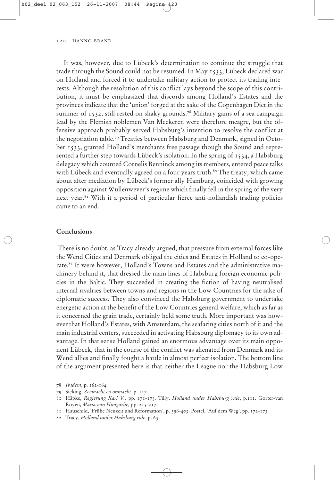It was, however, due to Lübeck's determination to continue the struggle that trade through the Sound could not be resumed. In May 1533, Lübeck declared war on Holland and forced it to undertake military action to protect its trading interests. Although the resolution of this conflict lays beyond the scope of this contribution, it must be emphasized that discords among Holland's Estates and the provinces indicate that the 'union' forged at the sake of the Copenhagen Diet in the summer of 1532, still rested on shaky grounds.78 Military gains of a sea campaign lead by the Flemish noblemen Van Meekeren were therefore meagre, but the offensive approach probably served Habsburg's intention to resolve the conflict at the negotiation table.79 Treaties between Habsburg and Denmark, signed in October 1533, granted Holland's merchants free passage though the Sound and represented a further step towards Lübeck's isolation. In the spring of 1534, a Habsburg delegacy which counted Cornelis Benninck among its members, entered peace talks with Lübeck and eventually agreed on a four years truth.<sup>80</sup> The treaty, which came about after mediation by Lübeck's former ally Hamburg, coincided with growing opposition against Wullenwever's regime which finally fell in the spring of the very next year.81 With it a period of particular fierce anti-hollandish trading policies came to an end.

### Conclusions **Conclusions**

There is no doubt, as Tracy already argued, that pressure from external forces like the Wend Cities and Denmark obliged the cities and Estates in Holland to co-operate.<sup>82</sup> It were however, Holland's Towns and Estates and the administrative machinery behind it, that dressed the main lines of Habsburg foreign economic policies in the Baltic. They succeeded in creating the fiction of having neutralised internal rivalries between towns and regions in the Low Countries for the sake of diplomatic success. They also convinced the Habsburg government to undertake energetic action at the benefit of the Low Countries general welfare, which as far as it concerned the grain trade, certainly held some truth. More important was however that Holland's Estates, with Amsterdam, the seafaring cities north of it and the main industrial centers, succeeded in activating Habsburg diplomacy to its own advantage. In that sense Holland gained an enormous advantage over its main opponent Lübeck, that in the course of the conflict was alienated from Denmark and its Wend allies and finally fought a battle in almost perfect isolation. The bottom line of the argument presented here is that neither the League nor the Habsburg Low

<sup>78</sup> *Ibidem*, p. 162-164.

<sup>79</sup> Sicking, *Zeemacht en onmacht*, p. 117.

<sup>80</sup> Häpke, *Regierung Karl V.,* pp. 171-173. Tilly, *Holland under Habsburg rule*, p.111. Gorter-van Royen, *Maria van Hongarije,* pp. 215-217.

<sup>81</sup> Hauschild, 'Frühe Neuzeit und Reformation', p. 396-405. Postel, 'Auf dem Weg', pp. 172-173.

<sup>82</sup> Tracy, *Holland under Habsburg rule*, p. 63.